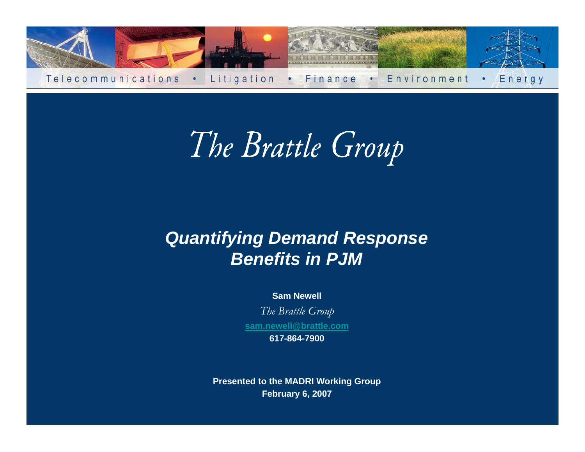

The Brattle Group

## *Quantifying Demand Response Benefits in PJM*

#### **Sam Newell**

*The Brattle Group* **[sam.newell@brattle.com](mailto:sam.newell@brattle.com)**

**617-864-7900**

**Presented to the MADRI Working Group February 6, 2007**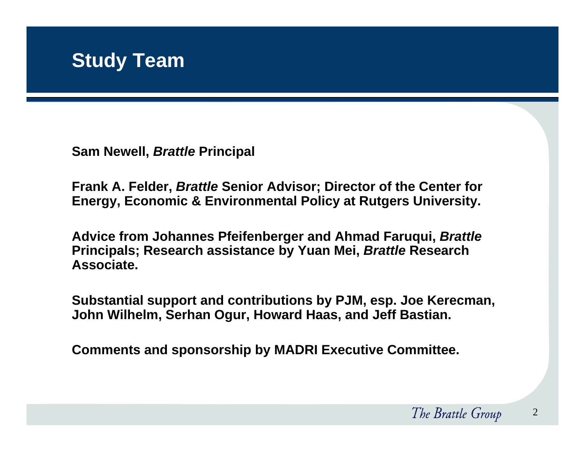**Sam Newell,** *Brattle* **Principal** 

**Frank A. Felder,** *Brattle* **Senior Advisor; Director of the Center for Energy, Economic & Environmental Policy at Rutgers University.**

**Advice from Johannes Pfeifenberger and Ahmad Faruqui,** *Brattle* **Principals; Research assistance by Yuan Mei,** *Brattle* **Research Associate.**

**Substantial support and contributions by PJM, esp. Joe Kerecman, John Wilhelm, Serhan Ogur, Howard Haas, and Jeff Bastian.**

**Comments and sponsorship by MADRI Executive Committee.**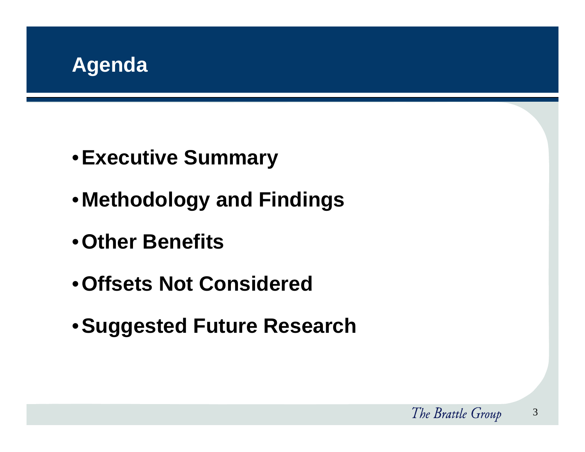

- •**Executive Summary**
- •**Methodology and Findings**
- •**Other Benefits**
- •**Offsets Not Considered**
- •**Suggested Future Research**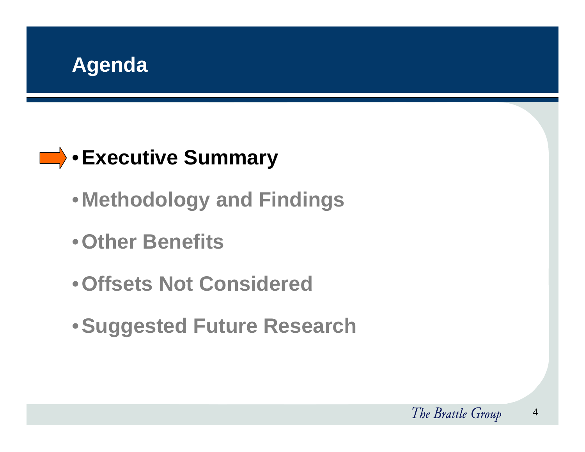

# **Executive Summary**

- •**Methodology and Findings**
- •**Other Benefits**
- •**Offsets Not Considered**
- •**Suggested Future Research**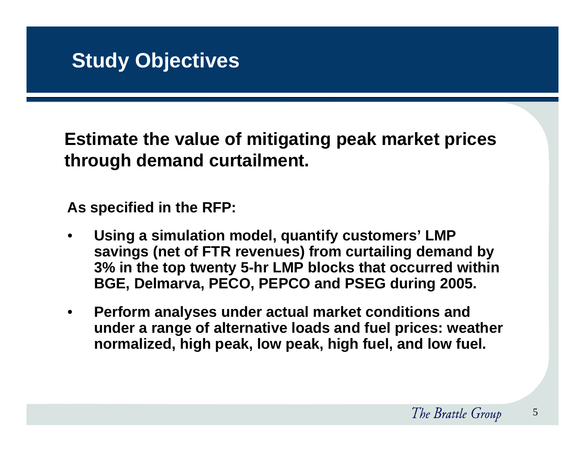**Estimate the value of mitigating peak market prices through demand curtailment.** 

**As specified in the RFP:**

- • **Using a simulation model, quantify customers' LMP savings (net of FTR revenues) from curtailing demand by 3% in the top twenty 5-hr LMP blocks that occurred within BGE, Delmarva, PECO, PEPCO and PSEG during 2005.**
- $\bullet$  **Perform analyses under actual market conditions and under a range of alternative loads and fuel prices: weather normalized, high peak, low peak, high fuel, and low fuel.**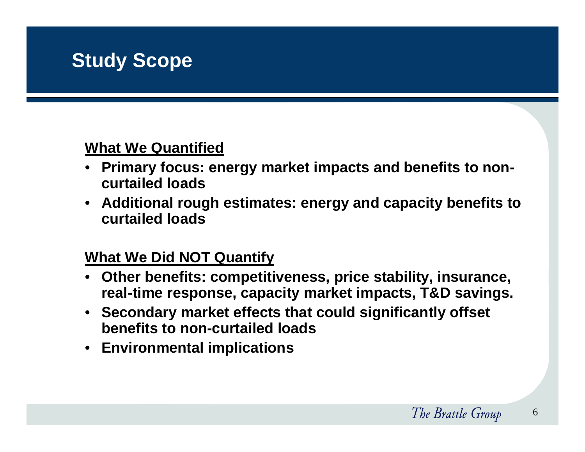#### **What We Quantified**

- • **Primary focus: energy market impacts and benefits to noncurtailed loads**
- **Additional rough estimates: energy and capacity benefits to curtailed loads**

#### **What We Did NOT Quantify**

- • **Other benefits: competitiveness, price stability, insurance, real-time response, capacity market impacts, T&D savings.**
- **Secondary market effects that could significantly offset benefits to non-curtailed loads**
- **Environmental implications**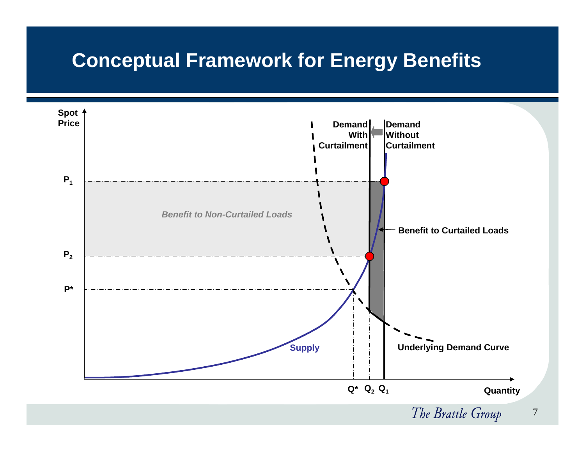## **Conceptual Framework for Energy Benefits**

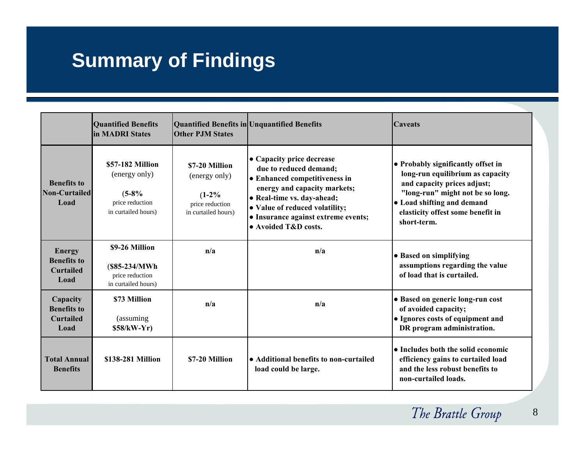# **Summary of Findings**

|                                                                 | <b>Quantified Benefits</b><br><b>lin MADRI States</b>                                  | <b>Other P.IM States</b>                                                              | Quantified Benefits in Unquantified Benefits                                                                                                                                                                                                        | Caveats                                                                                                                                                                                                                     |
|-----------------------------------------------------------------|----------------------------------------------------------------------------------------|---------------------------------------------------------------------------------------|-----------------------------------------------------------------------------------------------------------------------------------------------------------------------------------------------------------------------------------------------------|-----------------------------------------------------------------------------------------------------------------------------------------------------------------------------------------------------------------------------|
| <b>Benefits to</b><br><b>Non-Curtailed</b><br>Load              | \$57-182 Million<br>(energy only)<br>$(5-8%$<br>price reduction<br>in curtailed hours) | \$7-20 Million<br>(energy only)<br>$(1-2\%$<br>price reduction<br>in curtailed hours) | • Capacity price decrease<br>due to reduced demand:<br>• Enhanced competitiveness in<br>energy and capacity markets;<br>• Real-time vs. day-ahead;<br>• Value of reduced volatility;<br>• Insurance against extreme events;<br>• Avoided T&D costs. | • Probably significantly offset in<br>long-run equilibrium as capacity<br>and capacity prices adjust;<br>"long-run" might not be so long.<br>• Load shifting and demand<br>elasticity offest some benefit in<br>short-term. |
| <b>Energy</b><br><b>Benefits to</b><br><b>Curtailed</b><br>Load | \$9-26 Million<br>$(S85-234/MWh)$<br>price reduction<br>in curtailed hours)            | n/a                                                                                   | n/a                                                                                                                                                                                                                                                 | • Based on simplifying<br>assumptions regarding the value<br>of load that is curtailed.                                                                                                                                     |
| Capacity<br><b>Benefits to</b><br><b>Curtailed</b><br>Load      | \$73 Million<br>(assuming)<br>$$58/kW-Yr)$                                             | n/a                                                                                   | n/a                                                                                                                                                                                                                                                 | • Based on generic long-run cost<br>of avoided capacity;<br>• Ignores costs of equipment and<br>DR program administration.                                                                                                  |
| <b>Total Annual</b><br><b>Benefits</b>                          | \$138-281 Million                                                                      | \$7-20 Million                                                                        | • Additional benefits to non-curtailed<br>load could be large.                                                                                                                                                                                      | • Includes both the solid economic<br>efficiency gains to curtailed load<br>and the less robust benefits to<br>non-curtailed loads.                                                                                         |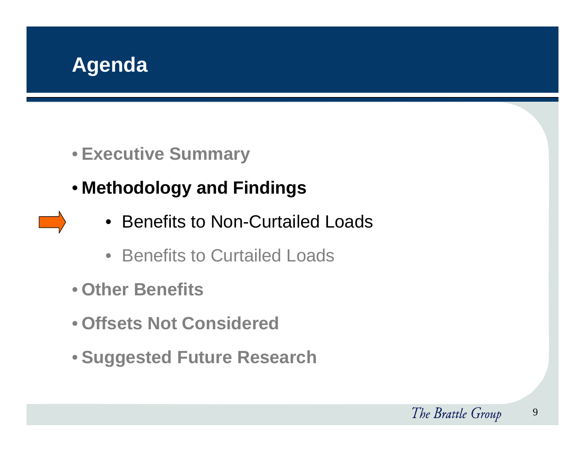

- **Executive Summary**
- **Methodology and Findings**
	- Benefits to Non-Curtailed Loads
	- Benefits to Curtailed Loads
- **Other Benefits**
- **Offsets Not Considered**
- **Suggested Future Research**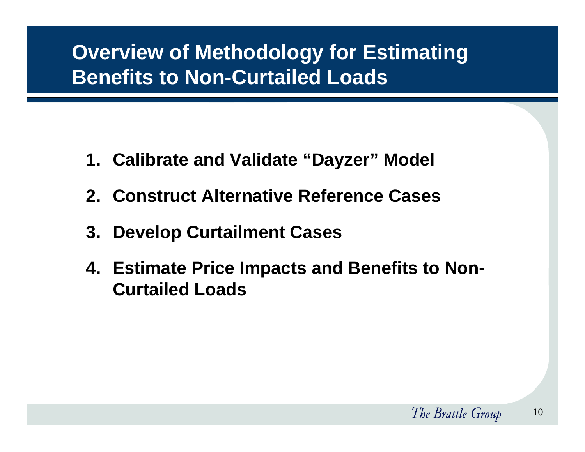# **Overview of Methodology for Estimating Benefits to Non-Curtailed Loads**

- **1. Calibrate and Validate "Dayzer" Model**
- **2. Construct Alternative Reference Cases**
- **3. Develop Curtailment Cases**
- **4. Estimate Price Impacts and Benefits to Non-Curtailed Loads**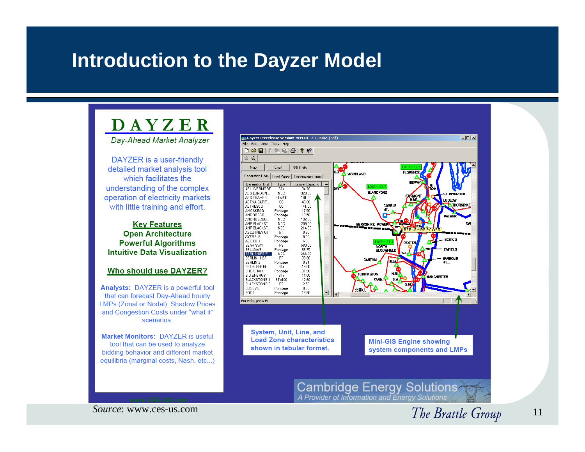## **Introduction to the Dayzer Model**

#### **DAYZER**

Day-Ahead Market Analyzer

DAYZER is a user-friendly detailed market analysis tool which facilitates the understanding of the complex operation of electricity markets with little training and effort.

#### **Kev Features Open Architecture Powerful Algorithms Intuitive Data Visualization**

#### Who should use DAYZER?

Analysts: DAYZER is a powerful tool that can forecast Day-Ahead hourly **LMPs (Zonal or Nodal), Shadow Prices** and Congestion Costs under "what if" scenarios.

Market Monitors: DAYZER is useful tool that can be used to analyze bidding behavior and different market equilibria (marginal costs, Nash, etc...)



*Source*: www.ces-us.com

The Brattle Group 11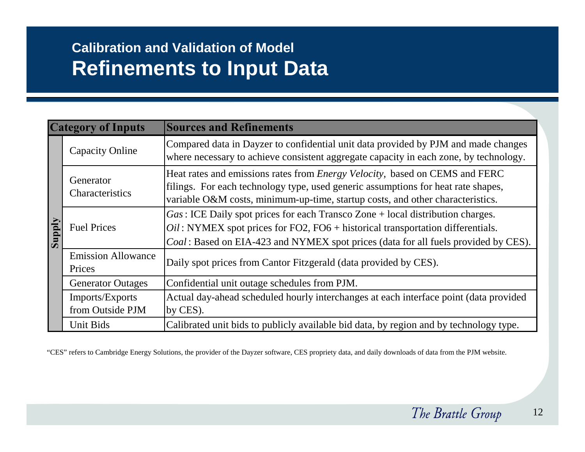|               | <b>Category of Inputs</b>           | <b>Sources and Refinements</b>                                                                                                                                                                                                                              |
|---------------|-------------------------------------|-------------------------------------------------------------------------------------------------------------------------------------------------------------------------------------------------------------------------------------------------------------|
|               | <b>Capacity Online</b>              | Compared data in Dayzer to confidential unit data provided by PJM and made changes<br>where necessary to achieve consistent aggregate capacity in each zone, by technology.                                                                                 |
|               | Generator<br>Characteristics        | Heat rates and emissions rates from <i>Energy Velocity</i> , based on CEMS and FERC<br>filings. For each technology type, used generic assumptions for heat rate shapes,<br>variable O&M costs, minimum-up-time, startup costs, and other characteristics.  |
| <b>Siqque</b> | <b>Fuel Prices</b>                  | $Gas: ICE$ Daily spot prices for each Transco Zone + local distribution charges.<br>$Oil$ : NYMEX spot prices for FO2, FO6 + historical transportation differentials.<br>Coal: Based on EIA-423 and NYMEX spot prices (data for all fuels provided by CES). |
|               | <b>Emission Allowance</b><br>Prices | Daily spot prices from Cantor Fitzgerald (data provided by CES).                                                                                                                                                                                            |
|               | <b>Generator Outages</b>            | Confidential unit outage schedules from PJM.                                                                                                                                                                                                                |
|               | Imports/Exports<br>from Outside PJM | Actual day-ahead scheduled hourly interchanges at each interface point (data provided<br>by CES).                                                                                                                                                           |
|               | Unit Bids                           | Calibrated unit bids to publicly available bid data, by region and by technology type.                                                                                                                                                                      |

"CES" refers to Cambridge Energy Solutions, the provider of the Dayzer software, CES propriety data, and daily downloads of data from the PJM website.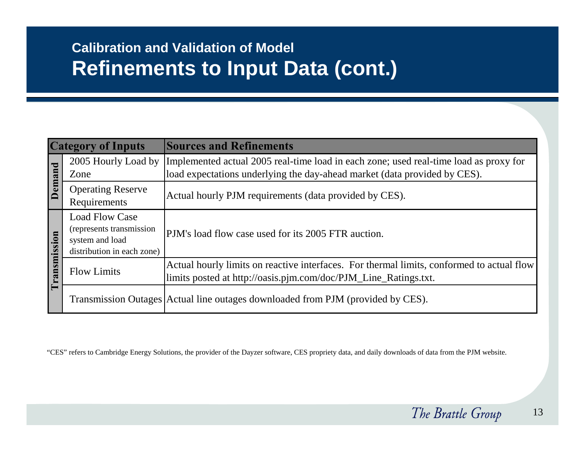|                         | <b>Category of Inputs</b>                                                                          | <b>Sources and Refinements</b>                                                                                                                                                         |
|-------------------------|----------------------------------------------------------------------------------------------------|----------------------------------------------------------------------------------------------------------------------------------------------------------------------------------------|
| $\overline{\mathbf{C}}$ | Zone                                                                                               | 2005 Hourly Load by Implemented actual 2005 real-time load in each zone; used real-time load as proxy for<br>load expectations underlying the day-ahead market (data provided by CES). |
| Deman                   | <b>Operating Reserve</b><br>Requirements                                                           | Actual hourly PJM requirements (data provided by CES).                                                                                                                                 |
| mission                 | <b>Load Flow Case</b><br>(represents transmission<br>system and load<br>distribution in each zone) | PJM's load flow case used for its 2005 FTR auction.                                                                                                                                    |
| Trans                   | <b>Flow Limits</b>                                                                                 | Actual hourly limits on reactive interfaces. For thermal limits, conformed to actual flow<br>limits posted at http://oasis.pjm.com/doc/PJM_Line_Ratings.txt.                           |
|                         |                                                                                                    | Transmission Outages Actual line outages downloaded from PJM (provided by CES).                                                                                                        |

"CES" refers to Cambridge Energy Solutions, the provider of the Dayzer software, CES propriety data, and daily downloads of data from the PJM website.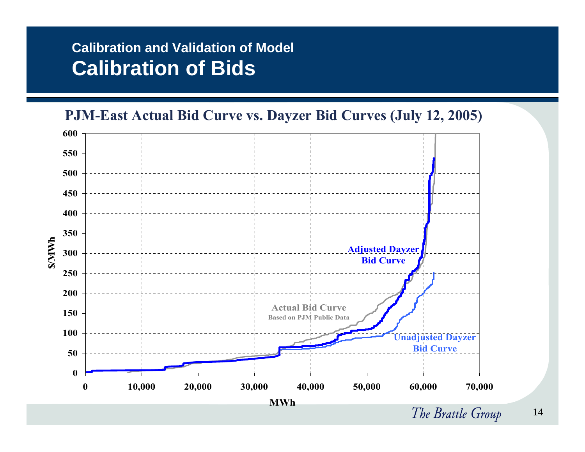## **Calibration and Validation of Model Calibration of Bids**



The Brattle Group 14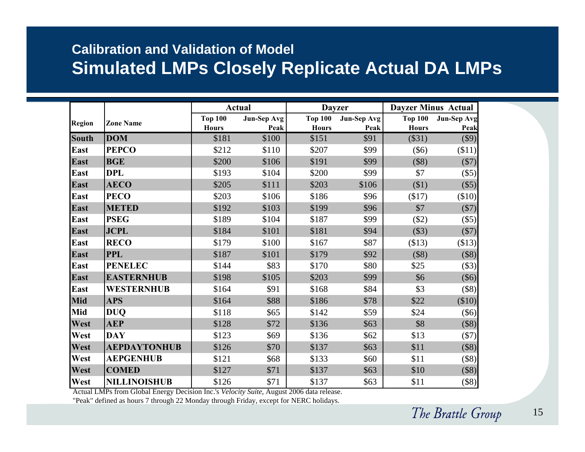### **Calibration and Validation of Model Simulated LMPs Closely Replicate Actual DA LMPs**

|              |                     |                                | <b>Actual</b>              | <b>Dayzer</b>                  |                            |                                | <b>Dayzer Minus Actual</b> |
|--------------|---------------------|--------------------------------|----------------------------|--------------------------------|----------------------------|--------------------------------|----------------------------|
| Region       | <b>Zone Name</b>    | <b>Top 100</b><br><b>Hours</b> | <b>Jun-Sep Avg</b><br>Peak | <b>Top 100</b><br><b>Hours</b> | <b>Jun-Sep Avg</b><br>Peak | <b>Top 100</b><br><b>Hours</b> | <b>Jun-Sep Avg</b><br>Peak |
| <b>South</b> | <b>DOM</b>          | \$181                          | \$100                      | \$151                          | \$91                       | (\$31)                         | \$9)                       |
| East         | <b>PEPCO</b>        | \$212                          | \$110                      | \$207                          | \$99                       | $(\$6)$                        | \$11)                      |
| East         | <b>BGE</b>          | \$200                          | \$106                      | \$191                          | \$99                       | (\$8)                          | (\$7)                      |
| East         | <b>DPL</b>          | \$193                          | \$104                      | \$200                          | \$99                       | \$7                            | (\$5)                      |
| East         | <b>AECO</b>         | \$205                          | \$111                      | \$203                          | \$106                      | \$1)                           | (\$5)                      |
| <b>East</b>  | <b>PECO</b>         | \$203                          | \$106                      | \$186                          | \$96                       | \$17)                          | (\$10)                     |
| East         | <b>METED</b>        | \$192                          | \$103                      | \$199                          | \$96                       | \$7                            | (\$7)                      |
| <b>East</b>  | <b>PSEG</b>         | \$189                          | \$104                      | \$187                          | \$99                       | (\$2)                          | (\$5)                      |
| East         | <b>JCPL</b>         | \$184                          | \$101                      | \$181                          | \$94                       | (\$3)                          | (\$7)                      |
| East         | <b>RECO</b>         | \$179                          | \$100                      | \$167                          | \$87                       | \$13)                          | ( \$13)                    |
| East         | <b>PPL</b>          | \$187                          | \$101                      | \$179                          | \$92                       | (\$8)                          | (\$8)                      |
| <b>East</b>  | <b>PENELEC</b>      | \$144                          | \$83                       | \$170                          | \$80                       | \$25                           | (\$3)                      |
| East         | <b>EASTERNHUB</b>   | \$198                          | \$105                      | \$203                          | \$99                       | \$6                            | $(\$6)$                    |
| East         | <b>WESTERNHUB</b>   | \$164                          | \$91                       | \$168                          | \$84                       | \$3                            | $($ \$8)                   |
| Mid          | <b>APS</b>          | \$164                          | \$88                       | \$186                          | \$78                       | \$22                           | \$10)                      |
| Mid          | <b>DUQ</b>          | \$118                          | \$65                       | \$142                          | \$59                       | \$24                           | $($ \$6) $ $               |
| West         | <b>AEP</b>          | \$128                          | \$72                       | \$136                          | \$63                       | \$8                            | (\$8)                      |
| West         | <b>DAY</b>          | \$123                          | \$69                       | \$136                          | \$62                       | \$13                           | (\$7)                      |
| West         | <b>AEPDAYTONHUB</b> | \$126                          | \$70                       | \$137                          | \$63                       | \$11                           | (\$8)                      |
| West         | <b>AEPGENHUB</b>    | \$121                          | \$68                       | \$133                          | \$60                       | \$11                           | (\$8)                      |
| West         | <b>COMED</b>        | \$127                          | \$71                       | \$137                          | \$63                       | \$10                           | (\$8)                      |
| West         | <b>NILLINOISHUB</b> | \$126                          | \$71                       | \$137                          | \$63                       | \$11                           | $($ \$8) $ $               |

Actual LMPs from Global Energy Decision Inc.'s *Velocity Suite*, August 2006 data release.

"Peak" defined as hours 7 through 22 Monday through Friday, except for NERC holidays.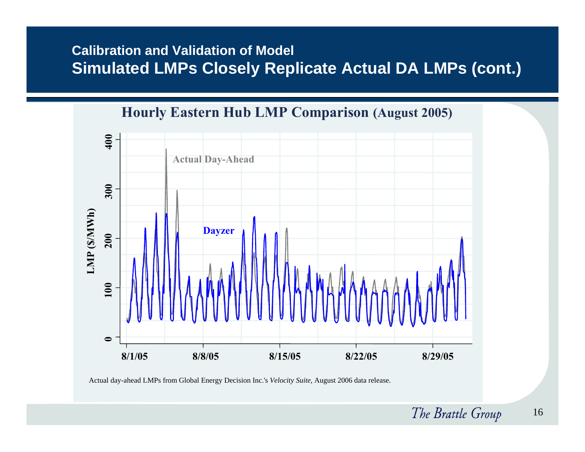#### **Calibration and Validation of Model Simulated LMPs Closely Replicate Actual DA LMPs (cont.)**



Actual day-ahead LMPs from Global Energy Decision Inc.'s *Velocity Suite*, August 2006 data release.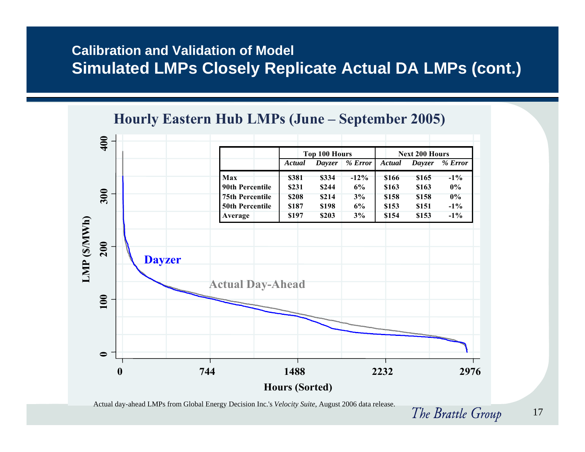#### **Calibration and Validation of Model Simulated LMPs Closely Replicate Actual DA LMPs (cont.)**



Actual day-ahead LMPs from Global Energy Decision Inc.'s *Velocity Suite*, August 2006 data release.

The Brattle Group 17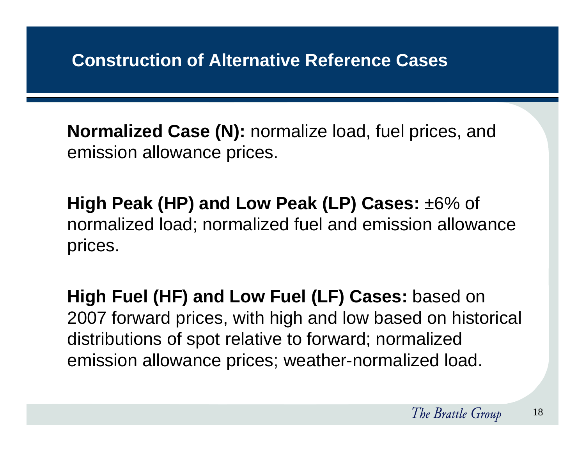**Normalized Case (N):** normalize load, fuel prices, and emission allowance prices.

**High Peak (HP) and Low Peak (LP) Cases:** ±6% of normalized load; normalized fuel and emission allowance prices.

**High Fuel (HF) and Low Fuel (LF) Cases:** based on 2007 forward prices, with high and low based on historical distributions of spot relative to forward; normalized emission allowance prices; weather-normalized load.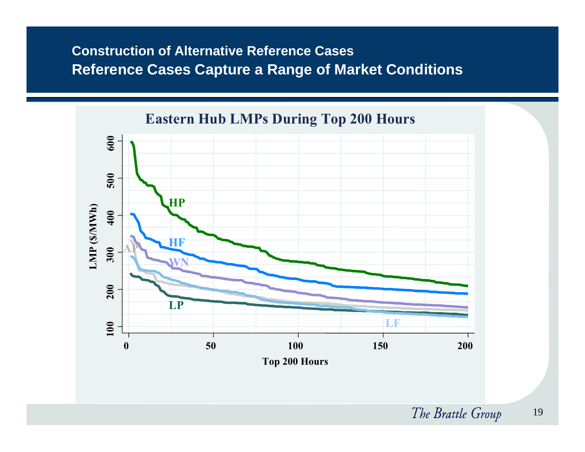#### **Construction of Alternative Reference CasesReference Cases Capture a Range of Market Conditions**

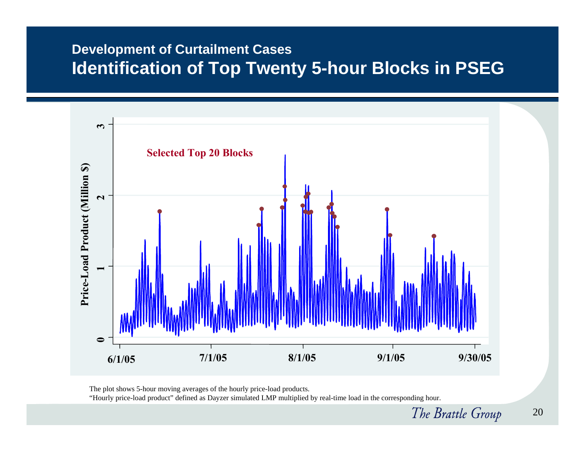#### **Development of Curtailment Cases Identification of Top Twenty 5-hour Blocks in PSEG**



The plot shows 5-hour moving averages of the hourly price-load products.

"Hourly price-load product" defined as Dayzer simulated LMP multiplied by real-time load in the corresponding hour.

The Brattle Group 20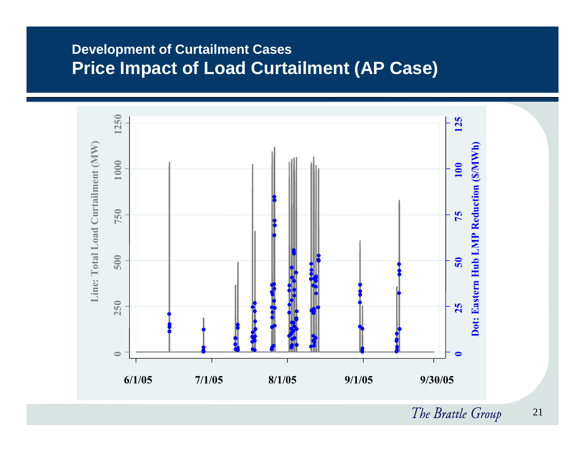#### **Development of Curtailment Cases Price Impact of Load Curtailment (AP Case)**



The Brattle Group 21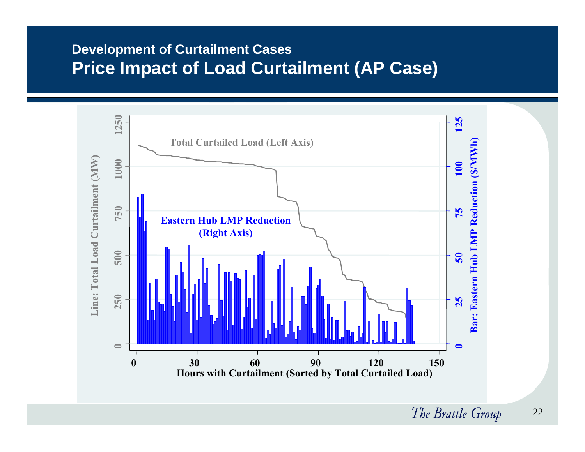#### **Development of Curtailment Cases Price Impact of Load Curtailment (AP Case)**



The Brattle Group 22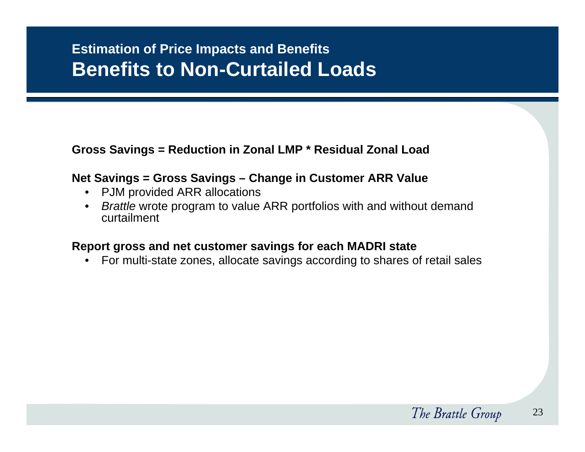## **Estimation of Price Impacts and Benefits Benefits to Non-Curtailed Loads**

#### **Gross Savings = Reduction in Zonal LMP \* Residual Zonal Load**

#### **Net Savings = Gross Savings – Change in Customer ARR Value**

- PJM provided ARR allocations
- $\bullet$  *Brattle* wrote program to value ARR portfolios with and without demand curtailment

#### **Report gross and net customer savings for each MADRI state**

 $\bullet$ For multi-state zones, allocate savings according to shares of retail sales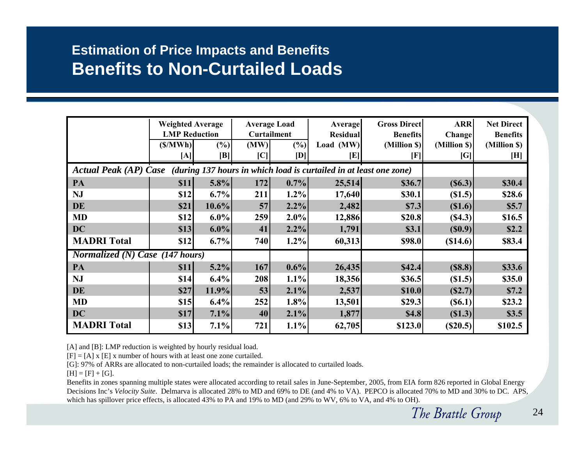#### **Estimation of Price Impacts and Benefits Benefits to Non-Curtailed Loads**

|                                                                                          | <b>Weighted Average</b><br><b>LMP</b> Reduction<br>(S/MWh)<br>[A] | (%)<br>[B] | (MW)<br> C | <b>Average Load</b><br><b>Curtailment</b><br>(%)<br>[D] | <b>Average</b><br><b>Residual</b><br>Load $(MW)$<br>[E] | <b>Gross Direct</b><br><b>Benefits</b><br>(Million \$)<br>$[\mathbf{F}]$ | <b>ARR</b><br><b>Change</b><br>(Million \$)<br>[G] | <b>Net Direct</b><br><b>Benefits</b><br>(Million \$)<br>[H] |
|------------------------------------------------------------------------------------------|-------------------------------------------------------------------|------------|------------|---------------------------------------------------------|---------------------------------------------------------|--------------------------------------------------------------------------|----------------------------------------------------|-------------------------------------------------------------|
| Actual Peak (AP) Case (during 137 hours in which load is curtailed in at least one zone) |                                                                   |            |            |                                                         |                                                         |                                                                          |                                                    |                                                             |
| PA                                                                                       | \$11                                                              | $5.8\%$    | 172        | 0.7%                                                    | 25,514                                                  | \$36.7                                                                   | (S6.3)                                             | \$30.4                                                      |
| <b>NJ</b>                                                                                | \$12                                                              | $6.7\%$    | 211        | 1.2%                                                    | 17,640                                                  | \$30.1                                                                   | (S1.5)                                             | \$28.6                                                      |
| DE                                                                                       | \$21                                                              | $10.6\%$   | 57         | 2.2%                                                    | 2,482                                                   | \$7.3                                                                    | \$1.6)                                             | \$5.7                                                       |
| <b>MD</b>                                                                                | \$12                                                              | $6.0\%$    | 259        | $2.0\%$                                                 | 12,886                                                  | \$20.8                                                                   | (S4.3)                                             | \$16.5                                                      |
| <b>DC</b>                                                                                | \$13                                                              | $6.0\%$    | 41         | 2.2%                                                    | 1,791                                                   | \$3.1                                                                    | (S0.9)                                             | \$2.2                                                       |
| <b>MADRI</b> Total                                                                       | \$12                                                              | 6.7%       | 740        | 1.2%                                                    | 60,313                                                  | \$98.0                                                                   | (S14.6)                                            | \$83.4                                                      |
| Normalized (N) Case $(147$ hours)                                                        |                                                                   |            |            |                                                         |                                                         |                                                                          |                                                    |                                                             |
| PA                                                                                       | \$11                                                              | 5.2%       | 167        | $0.6\%$                                                 | 26,435                                                  | \$42.4                                                                   | (S8.8)                                             | \$33.6                                                      |
| <b>NJ</b>                                                                                | \$14                                                              | 6.4%       | 208        | 1.1%                                                    | 18,356                                                  | \$36.5                                                                   | (S1.5)                                             | \$35.0                                                      |
| DE                                                                                       | \$27                                                              | 11.9%      | 53         | 2.1%                                                    | 2,537                                                   | \$10.0                                                                   | (S2.7)                                             | \$7.2                                                       |
| <b>MD</b>                                                                                | \$15                                                              | 6.4%       | 252        | 1.8%                                                    | 13,501                                                  | \$29.3                                                                   | (S6.1)                                             | \$23.2                                                      |
| DC                                                                                       | \$17                                                              | $7.1\%$    | 40         | 2.1%                                                    | 1,877                                                   | \$4.8                                                                    | (S1.3)                                             | \$3.5                                                       |
| <b>MADRI</b> Total                                                                       | \$13                                                              | $7.1\%$    | 721        | $1.1\%$                                                 | 62,705                                                  | \$123.0                                                                  | (S20.5)                                            | \$102.5                                                     |

[A] and [B]: LMP reduction is weighted by hourly residual load.

 $[F] = [A] x [E] x$  number of hours with at least one zone curtailed.

[G]: 97% of ARRs are allocated to non-curtailed loads; the remainder is allocated to curtailed loads.

 $[H] = [F] + [G].$ 

Benefits in zones spanning multiple states were allocated according to retail sales in June-September, 2005, from EIA form 826 reported in Global Energy Decisions Inc's *Velocity Suite*. Delmarva is allocated 28% to MD and 69% to DE (and 4% to VA). PEPCO is allocated 70% to MD and 30% to DC. APS, which has spillover price effects, is allocated 43% to PA and 19% to MD (and 29% to WV, 6% to VA, and 4% to OH).

The Brattle Group 24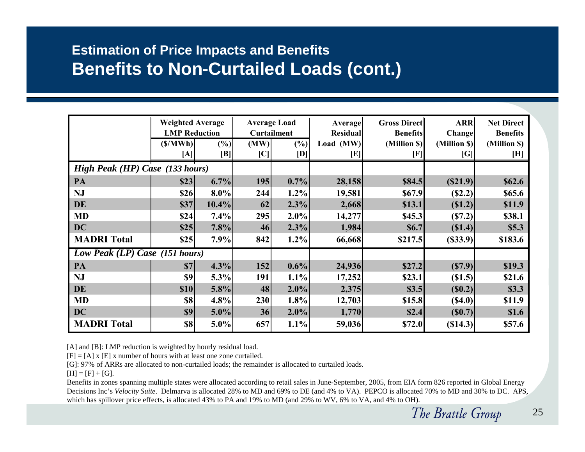### **Estimation of Price Impacts and Benefits Benefits to Non-Curtailed Loads (cont.)**

|                                 | <b>Weighted Average</b><br><b>LMP</b> Reduction |                       | <b>Average Load</b><br><b>Curtailment</b> |               | <b>Average</b><br><b>Residual</b> | <b>Gross Direct</b><br><b>Benefits</b> | <b>ARR</b><br><b>Change</b> | <b>Net Direct</b><br><b>Benefits</b> |
|---------------------------------|-------------------------------------------------|-----------------------|-------------------------------------------|---------------|-----------------------------------|----------------------------------------|-----------------------------|--------------------------------------|
|                                 | (S/MWh)<br>[A]                                  | (%)<br>$[\mathbf{B}]$ | (MW)<br>[C]                               | $(\%)$<br>[D] | Load $(MW)$<br>[E]                | (Million \$)<br>$[\mathrm{F}]$         | (Million \$)<br>[G]         | (Million \$)<br>[H]                  |
| High Peak (HP) Case (133 hours) |                                                 |                       |                                           |               |                                   |                                        |                             |                                      |
| PA                              | \$23                                            | 6.7%                  | 195                                       | 0.7%          | 28,158                            | \$84.5                                 | (S21.9)                     | \$62.6                               |
| <b>NJ</b>                       | \$26                                            | $8.0\%$               | 244                                       | $1.2\%$       | 19,581                            | \$67.9                                 | (S2.2)                      | \$65.6                               |
| DE                              | \$37                                            | $10.4\%$              | 62                                        | 2.3%          | 2,668                             | \$13.1                                 | (S1.2)                      | \$11.9                               |
| <b>MD</b>                       | \$24                                            | 7.4%                  | 295                                       | $2.0\%$       | 14,277                            | \$45.3                                 | (S7.2)                      | \$38.1                               |
| <b>DC</b>                       | \$25                                            | 7.8%                  | 46                                        | 2.3%          | 1,984                             | <b>\$6.7</b>                           | (S1.4)                      | \$5.3                                |
| <b>MADRI</b> Total              | \$25                                            | $7.9\%$               | 842                                       | 1.2%          | 66,668                            | \$217.5                                | (S33.9)                     | \$183.6                              |
| Low Peak (LP) Case (151 hours)  |                                                 |                       |                                           |               |                                   |                                        |                             |                                      |
| PA                              | \$7                                             | 4.3%                  | 152                                       | $0.6\%$       | 24,936                            | \$27.2                                 | (S7.9)                      | \$19.3                               |
| <b>NJ</b>                       | \$9                                             | 5.3%                  | 191                                       | 1.1%          | 17,252                            | \$23.1                                 | (S1.5)                      | \$21.6                               |
| <b>DE</b>                       | <b>\$10</b>                                     | 5.8%                  | 48                                        | 2.0%          | 2,375                             | \$3.5                                  | (S0.2)                      | \$3.3                                |
| <b>MD</b>                       | \$8                                             | 4.8%                  | 230                                       | 1.8%          | 12,703                            | \$15.8                                 | (S4.0)                      | \$11.9                               |
| <b>DC</b>                       | \$9                                             | $5.0\%$               | 36                                        | $2.0\%$       | 1,770                             | \$2.4                                  | (S0.7)                      | \$1.6                                |
| <b>MADRI</b> Total              | \$8                                             | $5.0\%$               | 657                                       | $1.1\%$       | 59,036                            | \$72.0                                 | (S14.3)                     | \$57.6                               |

[A] and [B]: LMP reduction is weighted by hourly residual load.

 $[F] = [A] x [E] x$  number of hours with at least one zone curtailed.

[G]: 97% of ARRs are allocated to non-curtailed loads; the remainder is allocated to curtailed loads.

 $[H] = [F] + [G].$ 

Benefits in zones spanning multiple states were allocated according to retail sales in June-September, 2005, from EIA form 826 reported in Global Energy Decisions Inc's *Velocity Suite*. Delmarva is allocated 28% to MD and 69% to DE (and 4% to VA). PEPCO is allocated 70% to MD and 30% to DC. APS, which has spillover price effects, is allocated 43% to PA and 19% to MD (and 29% to WV, 6% to VA, and 4% to OH).

The Brattle Group 25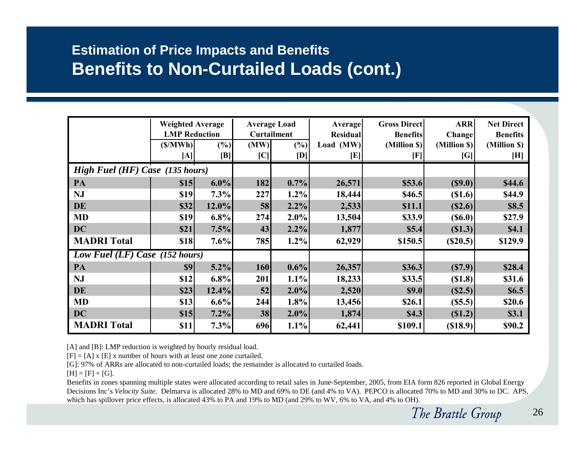### **Estimation of Price Impacts and Benefits Benefits to Non-Curtailed Loads (cont.)**

|                                  | <b>Weighted Average</b><br><b>LMP Reduction</b><br>(S/MWh) | (%)      | (MW) | <b>Average Load</b><br><b>Curtailment</b><br>$(\%)$ | <b>Average</b><br><b>Residual</b><br>Load (MW) | <b>Gross Direct</b><br><b>Benefits</b><br>(Million \$) | <b>ARR</b><br>Change<br>(Million \$) | <b>Net Direct</b><br><b>Benefits</b><br>(Million \$)                                                                                                                                                                                                                       |
|----------------------------------|------------------------------------------------------------|----------|------|-----------------------------------------------------|------------------------------------------------|--------------------------------------------------------|--------------------------------------|----------------------------------------------------------------------------------------------------------------------------------------------------------------------------------------------------------------------------------------------------------------------------|
|                                  | [A]                                                        | [B]      | C    | [D]                                                 | $[\mathbf{E}]$                                 | [F]                                                    | [G]                                  | $[H] \centering% \includegraphics[width=1.0\textwidth]{Figures/PN1.png} \caption{The 3D (top) and the 4D (bottom) of the 3D (bottom) and the 4D (bottom) of the 3D (bottom) and the 4D (bottom) of the 3D (bottom). The 3D (bottom) is the 3D (bottom).} \label{fig:SPN1}$ |
| High Fuel (HF) Case (135 hours)  |                                                            |          |      |                                                     |                                                |                                                        |                                      |                                                                                                                                                                                                                                                                            |
| PA                               | \$15                                                       | $6.0\%$  | 182  | 0.7%                                                | 26,571                                         | \$53.6                                                 | (S9.0)                               | \$44.6                                                                                                                                                                                                                                                                     |
| <b>NJ</b>                        | \$19                                                       | 7.3%     | 227  | 1.2%                                                | 18,444                                         | \$46.5                                                 | \$1.6)                               | \$44.9                                                                                                                                                                                                                                                                     |
| <b>DE</b>                        | \$32                                                       | $12.0\%$ | 58   | 2.2%                                                | 2,533                                          | \$11.1                                                 | (S2.6)                               | \$8.5                                                                                                                                                                                                                                                                      |
| <b>MD</b>                        | \$19                                                       | $6.8\%$  | 274  | $2.0\%$                                             | 13,504                                         | \$33.9                                                 | (S6.0)                               | \$27.9                                                                                                                                                                                                                                                                     |
| <b>DC</b>                        | \$21                                                       | 7.5%     | 43   | 2.2%                                                | 1,877                                          | \$5.4                                                  | (S1.3)                               | \$4.1                                                                                                                                                                                                                                                                      |
| <b>MADRI Total</b>               | \$18                                                       | 7.6%     | 785  | 1.2%                                                | 62,929                                         | \$150.5                                                | (S20.5)                              | \$129.9                                                                                                                                                                                                                                                                    |
| Low Fuel $(LF)$ Case (152 hours) |                                                            |          |      |                                                     |                                                |                                                        |                                      |                                                                                                                                                                                                                                                                            |
| PA                               | \$9                                                        | 5.2%     | 160  | $0.6\%$                                             | 26,357                                         | \$36.3                                                 | (S7.9)                               | \$28.4                                                                                                                                                                                                                                                                     |
| <b>NJ</b>                        | \$12                                                       | 6.8%     | 201  | 1.1%                                                | 18,233                                         | \$33.5                                                 | (S1.8)                               | \$31.6                                                                                                                                                                                                                                                                     |
| <b>DE</b>                        | \$23                                                       | 12.4%    | 52   | 2.0%                                                | 2,520                                          | \$9.0                                                  | (S2.5)                               | \$6.5                                                                                                                                                                                                                                                                      |
| <b>MD</b>                        | \$13                                                       | 6.6%     | 244  | 1.8%                                                | 13,456                                         | \$26.1                                                 | (S5.5)                               | \$20.6                                                                                                                                                                                                                                                                     |
| <b>DC</b>                        | \$15                                                       | 7.2%     | 38   | $2.0\%$                                             | 1,874                                          | \$4.3                                                  | (S1.2)                               | \$3.1                                                                                                                                                                                                                                                                      |
| <b>MADRI</b> Total               | \$11                                                       | 7.3%     | 696  | $1.1\%$                                             | 62,441                                         | \$109.1                                                | (\$18.9)                             | \$90.2                                                                                                                                                                                                                                                                     |

[A] and [B]: LMP reduction is weighted by hourly residual load.

 $[F] = [A] x [E] x$  number of hours with at least one zone curtailed.

[G]: 97% of ARRs are allocated to non-curtailed loads; the remainder is allocated to curtailed loads.

 $[H] = [F] + [G].$ 

Benefits in zones spanning multiple states were allocated according to retail sales in June-September, 2005, from EIA form 826 reported in Global Energy Decisions Inc's *Velocity Suite*. Delmarva is allocated 28% to MD and 69% to DE (and 4% to VA). PEPCO is allocated 70% to MD and 30% to DC. APS, which has spillover price effects, is allocated 43% to PA and 19% to MD (and 29% to WV, 6% to VA, and 4% to OH).

The Brattle Group 26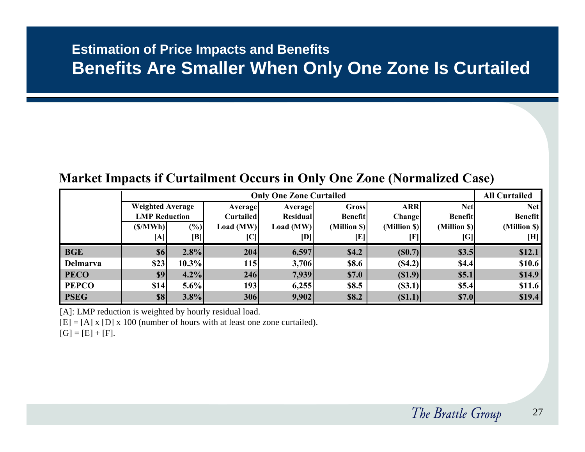#### **Estimation of Price Impacts and Benefits Benefits Are Smaller When Only One Zone Is Curtailed**

#### **Market Impacts if Curtailment Occurs in Only One Zone (Normalized Case)**

|              |                         | <b>Only One Zone Curtailed</b> |                            |                 |                |               |                |                |  |  |  |
|--------------|-------------------------|--------------------------------|----------------------------|-----------------|----------------|---------------|----------------|----------------|--|--|--|
|              | <b>Weighted Average</b> |                                | <b>Average</b>             | Average         | Gross          | <b>ARR</b>    | Netl           | <b>Net</b>     |  |  |  |
|              | <b>LMP</b> Reduction    |                                | <b>Curtailed</b>           | <b>Residual</b> | <b>Benefit</b> | <b>Change</b> | <b>Benefit</b> | <b>Benefit</b> |  |  |  |
|              | (S/MWh)                 | (%)                            | Load (MW)                  | Load $(MW)$     | (Million \$)   | (Million \$)  | (Million \$)   | (Million \$)   |  |  |  |
|              | [A]                     | [B]                            | $\left[ \mathrm{C}\right]$ | [D]             | [E]            | ΓF            | [G]            | [H]            |  |  |  |
| <b>BGE</b>   | <b>\$6</b>              | 2.8%                           | 204                        | 6,597           | \$4.2          | (S0.7)        | \$3.5          | \$12.1         |  |  |  |
| Delmarva     | \$23                    | $10.3\%$                       | <b>115</b>                 | 3,706           | \$8.6          | (S4.2)        | \$4.4          | \$10.6         |  |  |  |
| <b>PECO</b>  | \$9                     | 4.2%                           | 246                        | 7,939           | \$7.0          | (S1.9)        | \$5.1          | \$14.9         |  |  |  |
| <b>PEPCO</b> | \$14                    | $5.6\%$                        | <b>1931</b>                | 6,255           | \$8.5          | (S3.1)        | \$5.4          | \$11.6         |  |  |  |
| <b>PSEG</b>  | <b>\$8</b>              | 3.8%                           | 306                        | 9,902           | \$8.2          | (S1.1)        | \$7.0          | \$19.4         |  |  |  |

[A]: LMP reduction is weighted by hourly residual load.

 $[E] = [A] \times [D] \times 100$  (number of hours with at least one zone curtailed).

 $[G] = [E] + [F].$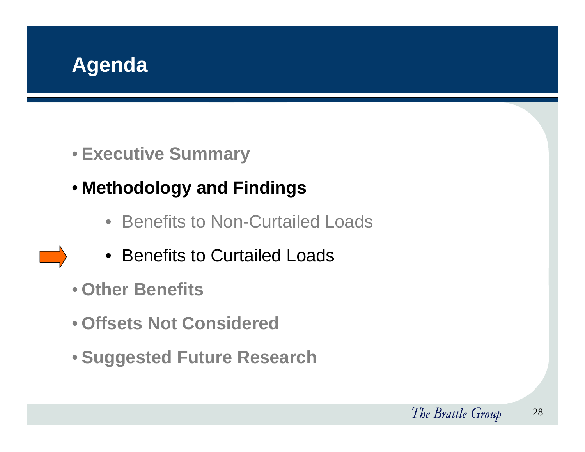

- **Executive Summary**
- **Methodology and Findings**
	- Benefits to Non-Curtailed Loads
	- Benefits to Curtailed Loads
- **Other Benefits**
- **Offsets Not Considered**
- **Suggested Future Research**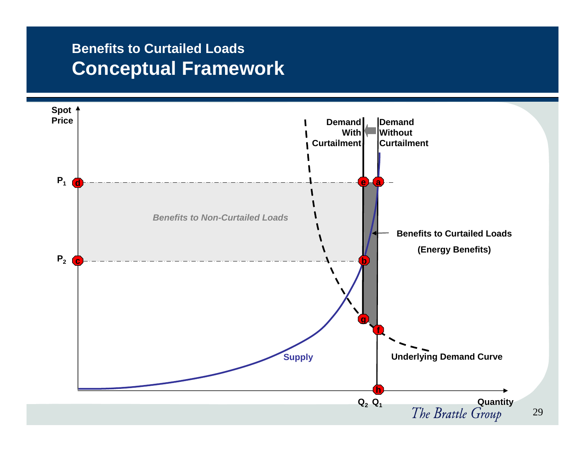### **Benefits to Curtailed LoadsConceptual Framework**

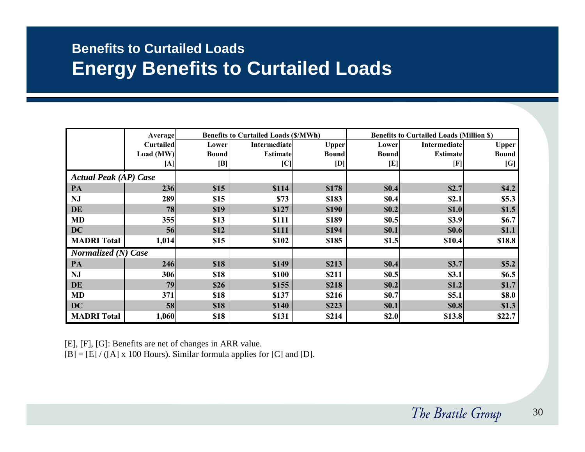### **Benefits to Curtailed Loads Energy Benefits to Curtailed Loads**

|                              | <b>Average</b> |              | <b>Benefits to Curtailed Loads (\$/MWh)</b> |              |              | <b>Benefits to Curtailed Loads (Million \$)</b> |              |  |  |
|------------------------------|----------------|--------------|---------------------------------------------|--------------|--------------|-------------------------------------------------|--------------|--|--|
|                              | Curtailed      | Lower        | <b>Intermediate</b>                         | <b>Upper</b> | Lower        | <b>Intermediate</b>                             | <b>Upper</b> |  |  |
|                              | Load (MW)      | <b>Bound</b> | <b>Estimate</b>                             | <b>Bound</b> | <b>Bound</b> | <b>Estimate</b>                                 | <b>Bound</b> |  |  |
|                              | [A]            | [B]          | [C]                                         | [D]          | [E]          | [F]                                             | [G]          |  |  |
| <b>Actual Peak (AP) Case</b> |                |              |                                             |              |              |                                                 |              |  |  |
| PA                           | 236            | \$15         | \$114                                       | \$178        | \$0.4        | \$2.7                                           | \$4.2        |  |  |
| <b>NJ</b>                    | 289            | \$15         | \$73                                        | \$183        | \$0.4        | \$2.1                                           | \$5.3\$      |  |  |
| DE                           | 78             | \$19         | \$127                                       | \$190        | \$0.2        | \$1.0                                           | \$1.5        |  |  |
| <b>MD</b>                    | 355            | \$13         | \$111                                       | \$189        | \$0.5        | \$3.9                                           | \$6.7        |  |  |
| DC                           | 56             | \$12         | \$111                                       | \$194        | \$0.1        | \$0.6                                           | \$1.1        |  |  |
| <b>MADRI</b> Total           | 1,014          | \$15         | \$102                                       | \$185        | \$1.5        | \$10.4                                          | \$18.8       |  |  |
| <b>Normalized (N) Case</b>   |                |              |                                             |              |              |                                                 |              |  |  |
| PA                           | 246            | \$18         | \$149                                       | \$213        | \$0.4        | \$3.7                                           | \$5.2\$      |  |  |
| <b>NJ</b>                    | 306            | \$18         | \$100                                       | \$211        | \$0.5        | \$3.1                                           | \$6.5        |  |  |
| DE                           | 79             | \$26         | \$155                                       | \$218        | \$0.2        | \$1.2                                           | \$1.7        |  |  |
| <b>MD</b>                    | 371            | \$18         | \$137                                       | \$216        | <b>\$0.7</b> | \$5.1                                           | \$8.0        |  |  |
| DC                           | 58             | \$18         | \$140                                       | \$223        | \$0.1        | \$0.8                                           | \$1.3        |  |  |
| <b>MADRI</b> Total           | 1,060          | \$18         | \$131                                       | \$214        | \$2.0        | \$13.8                                          | \$22.7       |  |  |

[E], [F], [G]: Benefits are net of changes in ARR value.

 $[B] = [E] / ([A] \times 100$  Hours). Similar formula applies for  $[C]$  and  $[D]$ .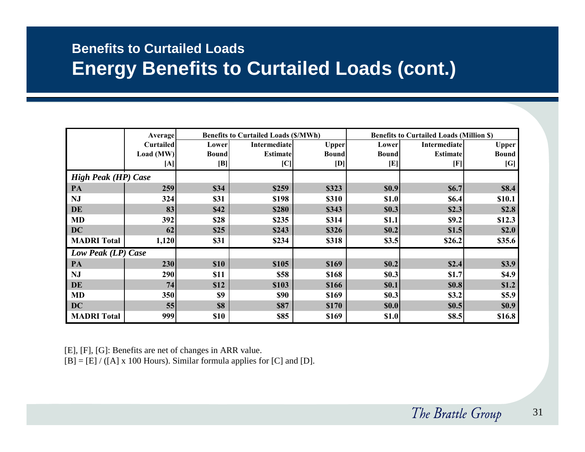### **Benefits to Curtailed Loads Energy Benefits to Curtailed Loads (cont.)**

|                            | Average          |              | <b>Benefits to Curtailed Loads (\$/MWh)</b> |              | <b>Benefits to Curtailed Loads (Million \$)</b> |                 |              |  |
|----------------------------|------------------|--------------|---------------------------------------------|--------------|-------------------------------------------------|-----------------|--------------|--|
|                            | <b>Curtailed</b> | Lower        | <b>Intermediate</b>                         | <b>Upper</b> | Lower                                           | Intermediate    | <b>Upper</b> |  |
|                            | Load (MW)        | <b>Bound</b> | <b>Estimate</b>                             | <b>Bound</b> | <b>Bound</b>                                    | <b>Estimate</b> | <b>Bound</b> |  |
|                            | [A]              | [B]          | [C]                                         | [D]          | [E]                                             | $[\mathrm{F}]$  | [G]          |  |
| <b>High Peak (HP) Case</b> |                  |              |                                             |              |                                                 |                 |              |  |
| PA                         | 259              | \$34         | \$259                                       | \$323        | \$0.9                                           | \$6.7           | \$8.4        |  |
| NJ                         | 324              | \$31         | \$198                                       | \$310        | \$1.0                                           | \$6.4           | \$10.1       |  |
| DE                         | 83               | \$42         | \$280                                       | \$343        | \$0.3                                           | \$2.3           | \$2.8        |  |
| MD                         | 392              | \$28         | \$235                                       | \$314        | \$1.1                                           | \$9.2           | \$12.3       |  |
| <b>DC</b>                  | 62               | \$25         | \$243                                       | \$326        | \$0.2                                           | \$1.5           | \$2.0        |  |
| <b>MADRI</b> Total         | 1,120            | \$31         | \$234                                       | \$318        | \$3.5                                           | \$26.2          | \$35.6       |  |
| Low Peak (LP) Case         |                  |              |                                             |              |                                                 |                 |              |  |
| PA                         | 230              | \$10         | \$105                                       | \$169        | \$0.2                                           | \$2.4           | \$3.9        |  |
| <b>NJ</b>                  | 290              | \$11         | \$58                                        | \$168        | \$0.3                                           | \$1.7           | \$4.9        |  |
| DE                         | 74               | \$12         | \$103                                       | \$166        | \$0.1                                           | \$0.8           | \$1.2        |  |
| <b>MD</b>                  | 350              | \$9          | \$90                                        | \$169        | \$0.3                                           | \$3.2           | \$5.9        |  |
| <b>DC</b>                  | 55               | \$8          | <b>\$87</b>                                 | \$170        | \$0.0                                           | \$0.5           | \$0.9        |  |
| <b>MADRI</b> Total         | 999              | \$10         | \$85                                        | \$169        | \$1.0                                           | \$8.5           | \$16.8       |  |

[E], [F], [G]: Benefits are net of changes in ARR value.

 $[B] = [E] / ([A] \times 100$  Hours). Similar formula applies for  $[C]$  and  $[D]$ .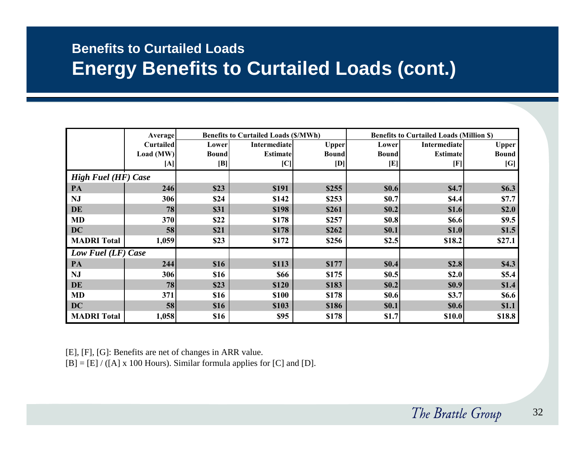### **Benefits to Curtailed Loads Energy Benefits to Curtailed Loads (cont.)**

|                            | <b>Average</b>   |              | <b>Benefits to Curtailed Loads (\$/MWh)</b> |              |              | <b>Benefits to Curtailed Loads (Million \$)</b> |              |  |  |
|----------------------------|------------------|--------------|---------------------------------------------|--------------|--------------|-------------------------------------------------|--------------|--|--|
|                            | <b>Curtailed</b> | Lower        | <b>Intermediate</b>                         | <b>Upper</b> | Lower        | Intermediate                                    | <b>Upper</b> |  |  |
|                            | Load (MW)        | <b>Bound</b> | <b>Estimate</b>                             | <b>Bound</b> | <b>Bound</b> | <b>Estimate</b>                                 | <b>Bound</b> |  |  |
|                            | [A]              | [B]          | [C]                                         | [D]          | [E]          | [F]                                             | [G]          |  |  |
| <b>High Fuel (HF) Case</b> |                  |              |                                             |              |              |                                                 |              |  |  |
| PA                         | 246              | \$23         | \$191                                       | \$255        | \$0.6        | \$4.7                                           | \$6.3\$      |  |  |
| <b>NJ</b>                  | 306              | \$24         | \$142                                       | \$253        | \$0.7        | \$4.4                                           | \$7.7        |  |  |
| DE                         | 78               | \$31         | \$198                                       | \$261        | \$0.2        | \$1.6                                           | \$2.0        |  |  |
| <b>MD</b>                  | 370              | \$22         | \$178                                       | \$257        | \$0.8        | \$6.6                                           | \$9.5        |  |  |
| DC                         | 58               | \$21         | \$178                                       | \$262        | \$0.1        | \$1.0                                           | \$1.5        |  |  |
| <b>MADRI Total</b>         | 1,059            | \$23         | \$172                                       | \$256        | \$2.5        | \$18.2                                          | \$27.1       |  |  |
| <b>Low Fuel (LF) Case</b>  |                  |              |                                             |              |              |                                                 |              |  |  |
| PA                         | 244              | \$16         | \$113                                       | \$177        | \$0.4        | \$2.8                                           | \$4.3        |  |  |
| <b>NJ</b>                  | 306              | \$16         | \$66                                        | \$175        | \$0.5        | \$2.0                                           | \$5.4        |  |  |
| DE                         | 78               | \$23         | \$120                                       | \$183        | \$0.2        | \$0.9                                           | \$1.4        |  |  |
| <b>MD</b>                  | 371              | \$16         | \$100                                       | \$178        | \$0.6        | \$3.7                                           | <b>\$6.6</b> |  |  |
| DC                         | 58               | \$16         | \$103                                       | \$186        | \$0.1        | \$0.6                                           | \$1.1        |  |  |
| <b>MADRI</b> Total         | 1,058            | \$16         | \$95                                        | \$178        | \$1.7        | \$10.0                                          | \$18.8       |  |  |

[E], [F], [G]: Benefits are net of changes in ARR value.

 $[B] = [E] / ([A] \times 100$  Hours). Similar formula applies for [C] and [D].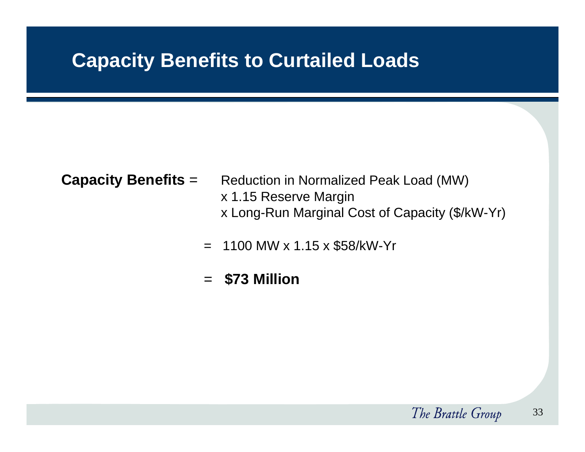## **Capacity Benefits to Curtailed Loads**

- 
- **Capacity Benefits** = Reduction in Normalized Peak Load (MW) x 1.15 Reserve Margin x Long-Run Marginal Cost of Capacity (\$/kW-Yr)
	- $= 1100$  MW x 1.15 x \$58/kW-Yr
	- <sup>=</sup>**\$73 Million**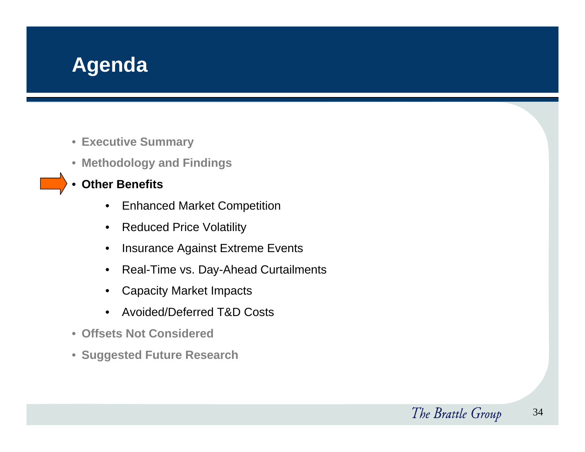## **Agenda**

- **Executive Summary**
- **Methodology and Findings**
- • **Other Benefits**
	- $\bullet$ Enhanced Market Competition
	- $\bullet$ Reduced Price Volatility
	- $\bullet$ Insurance Against Extreme Events
	- $\bullet$ Real-Time vs. Day-Ahead Curtailments
	- $\bullet$ Capacity Market Impacts
	- •Avoided/Deferred T&D Costs
- **Offsets Not Considered**
- $\bullet$ **Suggested Future Research**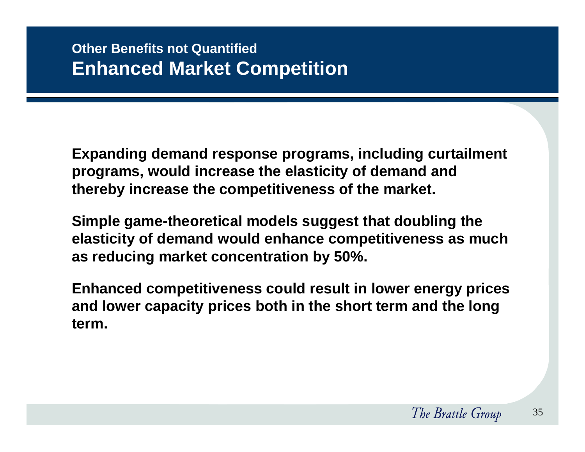**Expanding demand response programs, including curtailment programs, would increase the elasticity of demand and thereby increase the competitiveness of the market.** 

**Simple game-theoretical models suggest that doubling the elasticity of demand would enhance competitiveness as much as reducing market concentration by 50%.** 

**Enhanced competitiveness could result in lower energy prices and lower capacity prices both in the short term and the long term.**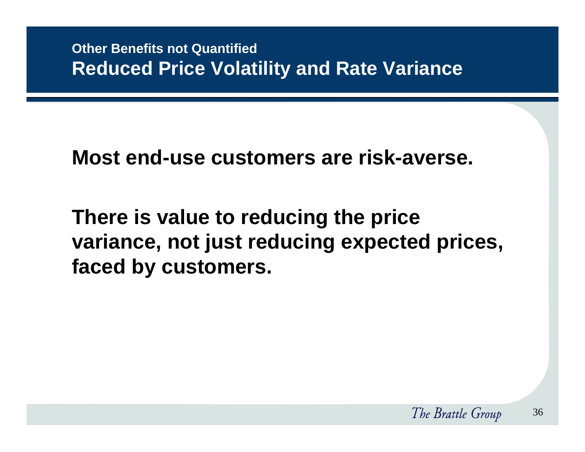## **Most end-use customers are risk-averse.**

# **There is value to reducing the price variance, not just reducing expected prices, faced by customers.**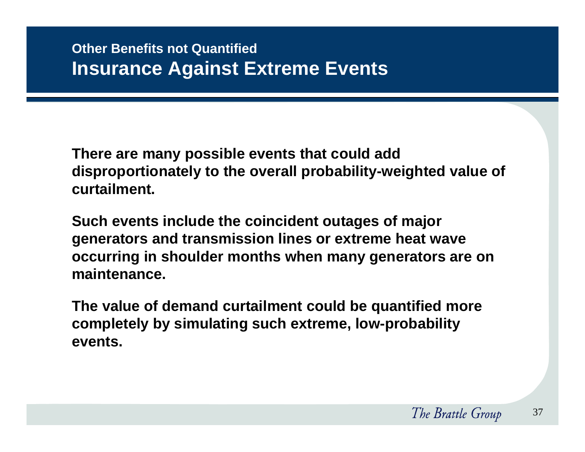**There are many possible events that could add disproportionately to the overall probability-weighted value of curtailment.** 

**Such events include the coincident outages of major generators and transmission lines or extreme heat wave occurring in shoulder months when many generators are on maintenance.** 

**The value of demand curtailment could be quantified more completely by simulating such extreme, low-probability events.**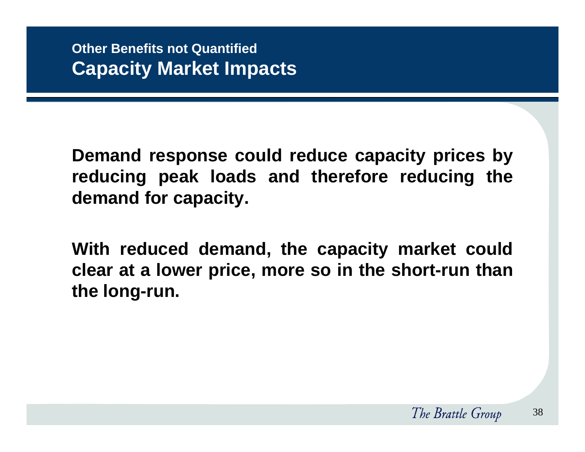**Demand response could reduce capacity prices by reducing peak loads and therefore reducing the demand for capacity.**

**With reduced demand, the capacity market could clear at a lower price, more so in the short-run than the long-run.**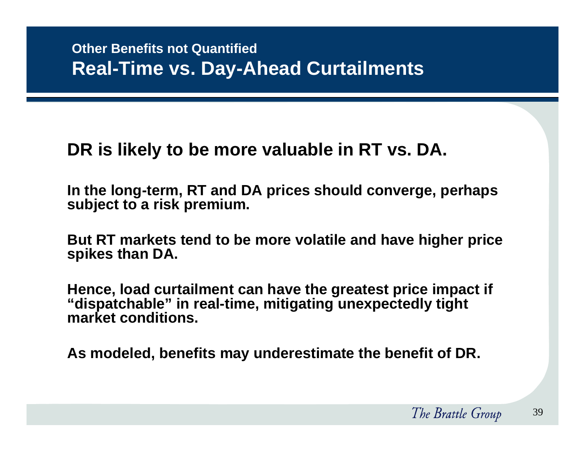## **DR is likely to be more valuable in RT vs. DA.**

**In the long-term, RT and DA prices should converge, perhaps subject to a risk premium.**

**But RT markets tend to be more volatile and have higher price spikes than DA.**

**Hence, load curtailment can have the greatest price impact if "dispatchable" in real-time, mitigating unexpectedly tight market conditions.** 

**As modeled, benefits may underestimate the benefit of DR.**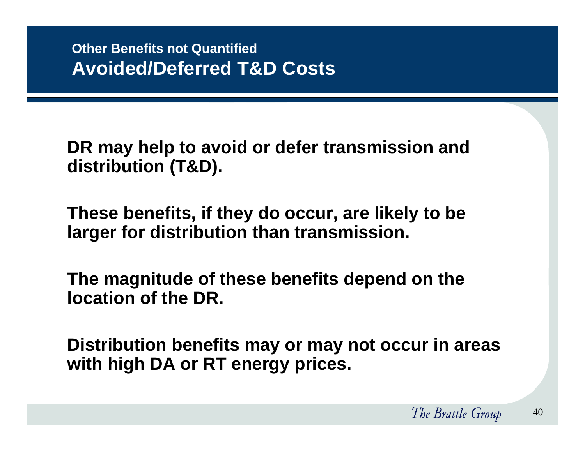**DR may help to avoid or defer transmission and distribution (T&D).**

**These benefits, if they do occur, are likely to be larger for distribution than transmission.**

**The magnitude of these benefits depend on the location of the DR.**

**Distribution benefits may or may not occur in areas with high DA or RT energy prices.**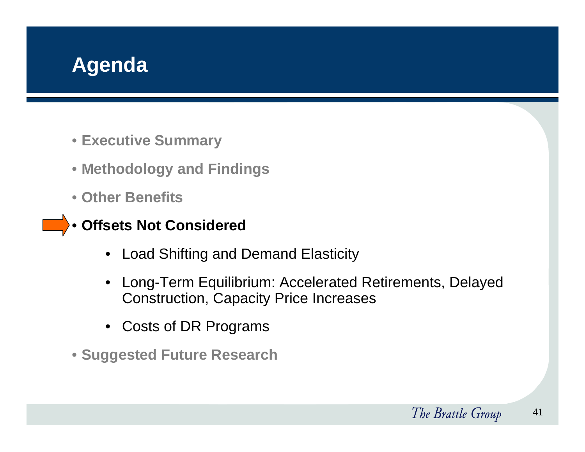

- **Executive Summary**
- **Methodology and Findings**
- **Other Benefits**
- **Offsets Not Considered**
	- Load Shifting and Demand Elasticity
	- Long-Term Equilibrium: Accelerated Retirements, Delayed Construction, Capacity Price Increases
	- Costs of DR Programs
- **Suggested Future Research**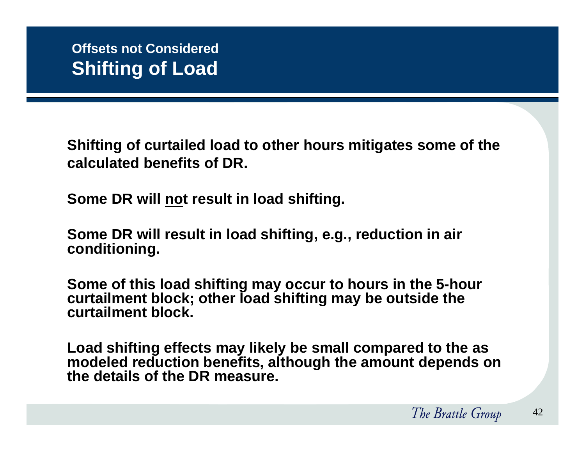**Shifting of curtailed load to other hours mitigates some of the calculated benefits of DR.** 

**Some DR will not result in load shifting.** 

**Some DR will result in load shifting, e.g., reduction in air conditioning.**

**Some of this load shifting may occur to hours in the 5-hour curtailment block; other load shifting may be outside the curtailment block.**

**Load shifting effects may likely be small compared to the as modeled reduction benefits, although the amount depends on the details of the DR measure.**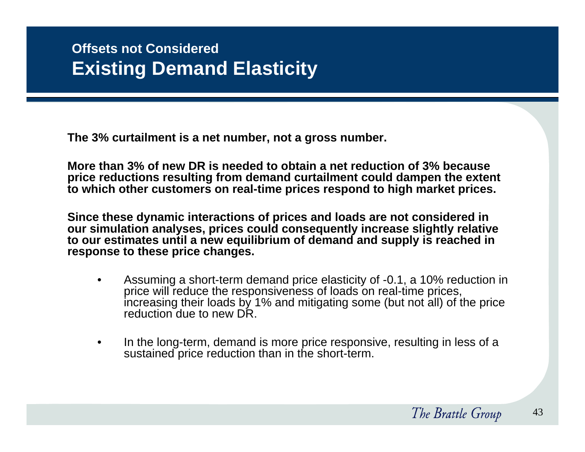**The 3% curtailment is a net number, not a gross number.**

**More than 3% of new DR is needed to obtain a net reduction of 3% because price reductions resulting from demand curtailment could dampen the extent to which other customers on real-time prices respond to high market prices.** 

**Since these dynamic interactions of prices and loads are not considered in our simulation analyses, prices could consequently increase slightly relative to our estimates until a new equilibrium of demand and supply is reached in response to these price changes.**

- • Assuming a short-term demand price elasticity of -0.1, a 10% reduction in price will reduce the responsiveness of loads on real-time prices, increasing their loads by 1% and mitigating some (but not all) of the price reduction due to new DR.
- • In the long-term, demand is more price responsive, resulting in less of a sustained price reduction than in the short-term.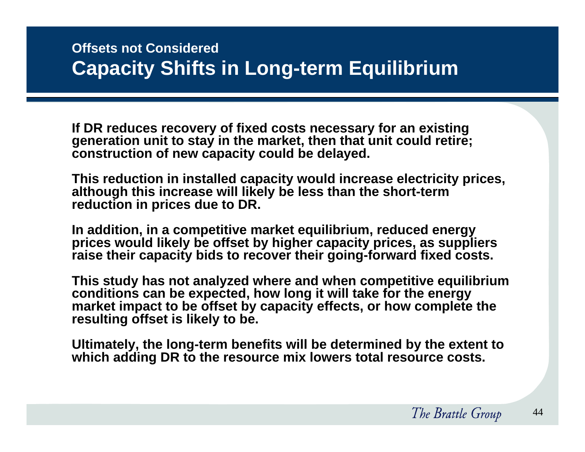## **Offsets not Considered Capacity Shifts in Long-term Equilibrium**

**If DR reduces recovery of fixed costs necessary for an existing generation unit to stay in the market, then that unit could retire; construction of new capacity could be delayed.**

**This reduction in installed capacity would increase electricity prices, although this increase will likely be less than the short-term reduction in prices due to DR.**

**In addition, in a competitive market equilibrium, reduced energy prices would likely be offset by higher capacity prices, as suppliers raise their capacity bids to recover their going-forward fixed costs.** 

**This study has not analyzed where and when competitive equilibrium conditions can be expected, how long it will take for the energy market impact to be offset by capacity effects, or how complete the resulting offset is likely to be.**

**Ultimately, the long-term benefits will be determined by the extent to which adding DR to the resource mix lowers total resource costs.**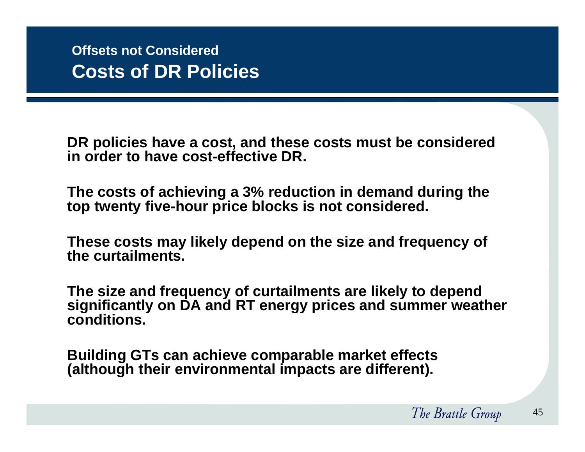**DR policies have a cost, and these costs must be considered in order to have cost-effective DR.**

**The costs of achieving a 3% reduction in demand during the top twenty five-hour price blocks is not considered.**

**These costs may likely depend on the size and frequency of the curtailments.**

**The size and frequency of curtailments are likely to depend significantly on DA and RT energy prices and summer weather conditions.**

**Building GTs can achieve comparable market effects (although their environmental impacts are different).**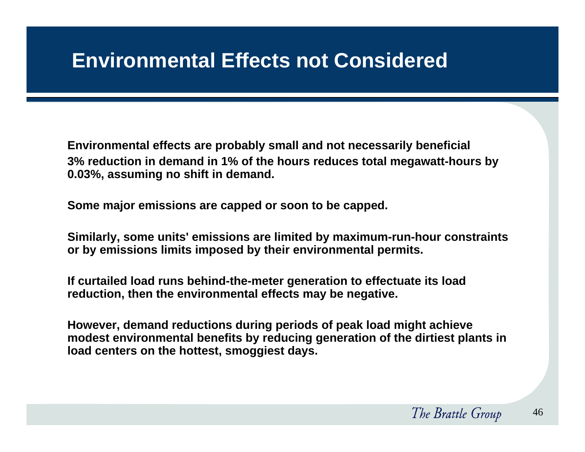**Environmental effects are probably small and not necessarily beneficial 3% reduction in demand in 1% of the hours reduces total megawatt-hours by 0.03%, assuming no shift in demand.**

**Some major emissions are capped or soon to be capped.**

**Similarly, some units' emissions are limited by maximum-run-hour constraints or by emissions limits imposed by their environmental permits.**

**If curtailed load runs behind-the-meter generation to effectuate its load reduction, then the environmental effects may be negative.**

**However, demand reductions during periods of peak load might achieve modest environmental benefits by reducing generation of the dirtiest plants in load centers on the hottest, smoggiest days.**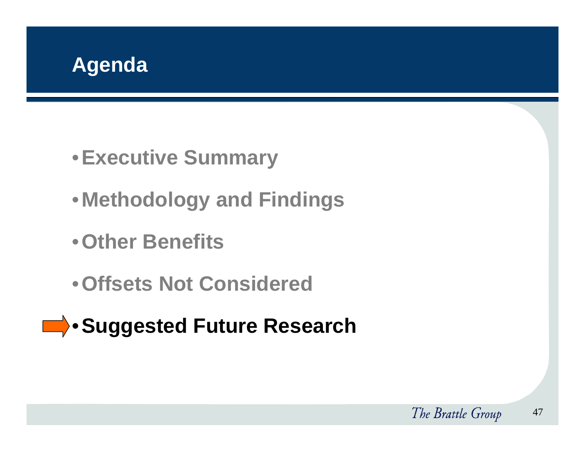

- •**Executive Summary**
- •**Methodology and Findings**
- •**Other Benefits**
- •**Offsets Not Considered**
- **ED** Suggested Future Research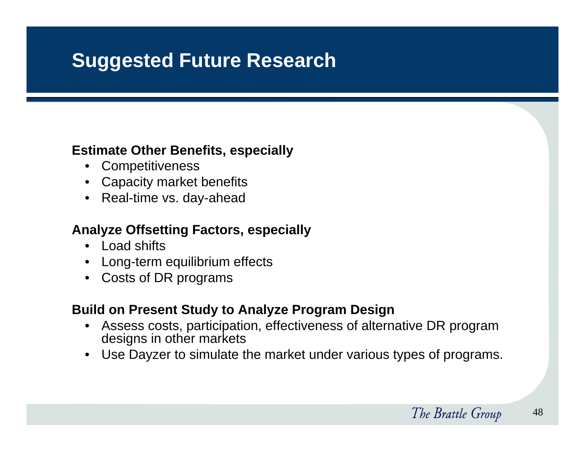## **Suggested Future Research**

#### **Estimate Other Benefits, especially**

- Competitiveness
- Capacity market benefits
- Real-time vs. day-ahead

#### **Analyze Offsetting Factors, especially**

- Load shifts
- •Long-term equilibrium effects
- Costs of DR programs

#### **Build on Present Study to Analyze Program Design**

- • Assess costs, participation, effectiveness of alternative DR program designs in other markets
- •Use Dayzer to simulate the market under various types of programs.